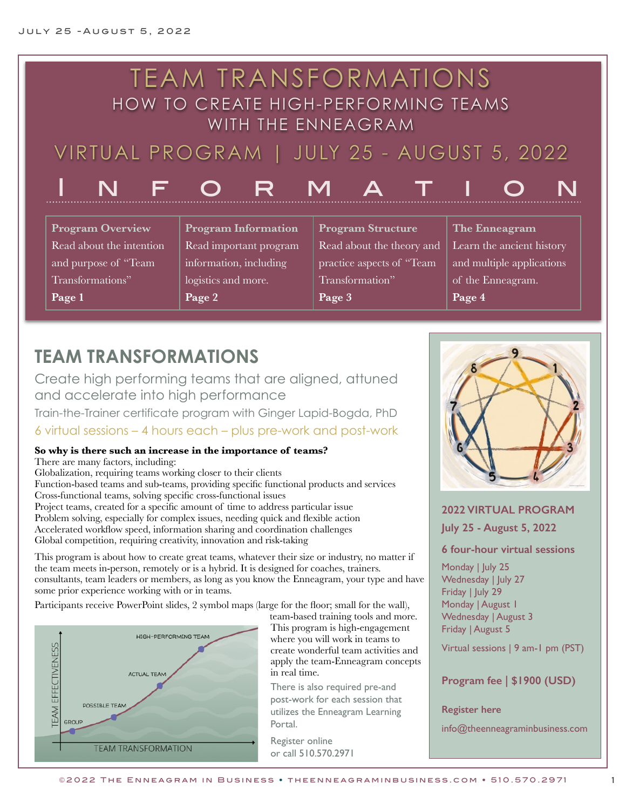#### TEAM TRANSFORMATIONS HOW TO CREATE HIGH-PERFORMING TEAMS WITH THE ENNEAGRAM VIRTUAL PROGRAM | JULY 25 - AUGUST 5, 2022 INFORMATION **Program Overview** Read about the intention and purpose of "Team Transformations" **Page 1 Program Information** Read important program information, including logistics and more. **Page 2 Program Structure** Read about the theory and practice aspects of "Team Transformation" **Page 3 The Enneagram** Learn the ancient history and multiple applications of the Enneagram. **Page 4**

# **TEAM TRANSFORMATIONS**

Create high performing teams that are aligned, attuned and accelerate into high performance

Train-the-Trainer certificate program with Ginger Lapid-Bogda, PhD 6 virtual sessions – 4 hours each – plus pre-work and post-work

### **So why is there such an increase in the importance of teams?**

There are many factors, including:

Globalization, requiring teams working closer to their clients Function-based teams and sub-teams, providing specific functional products and services Cross-functional teams, solving specific cross-functional issues Project teams, created for a specific amount of time to address particular issue Problem solving, especially for complex issues, needing quick and flexible action Accelerated workflow speed, information sharing and coordination challenges Global competition, requiring creativity, innovation and risk-taking

This program is about how to create great teams, whatever their size or industry, no matter if the team meets in-person, remotely or is a hybrid. It is designed for coaches, trainers. consultants, team leaders or members, as long as you know the Enneagram, your type and have some prior experience working with or in teams.

Participants receive PowerPoint slides, 2 symbol maps (large for the floor; small for the wall),



team-based training tools and more. This program is high-engagement where you will work in teams to create wonderful team activities and apply the team-Enneagram concepts in real time.

There is also required pre-and post-work for each session that utilizes the Enneagram Learning Portal.

[Register online](http://theenneagraminbusiness.com/product/ttt-type-leader-san-francisco/) or call 510.570.2971



# **2022 VIRTUAL PROGRAM**

**July 25 - August 5, 2022**

### **6 four-hour virtual sessions**

Monday | July 25 Wednesday | July 27 Friday | July 29 Monday | August 1 Wednesday | August 3 Friday | August 5

Virtual sessions | 9 am-1 pm (PST)

**Program fee | \$1900 (USD)**

**Register here**

[info@theenneagraminbusiness.com](mailto:info@theenneagraminbusiness.com)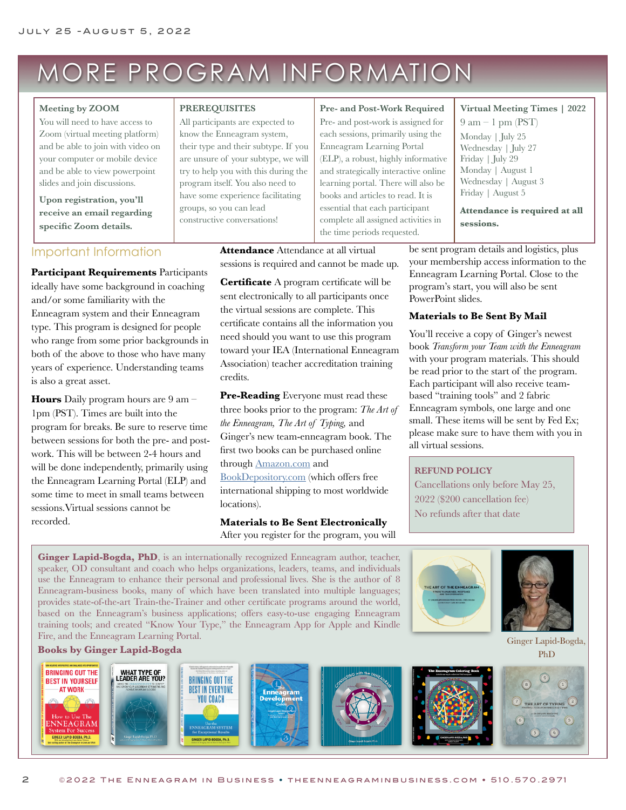# MORE PROGRAM INFORMATION

#### **Meeting by ZOOM**

You will need to have access to Zoom (virtual meeting platform) and be able to join with video on your computer or mobile device and be able to view powerpoint slides and join discussions.

**Upon registration, you'll receive an email regarding specific Zoom details.**

### Important Information

**Participant Requirements** Participants ideally have some background in coaching and/or some familiarity with the Enneagram system and their Enneagram type. This program is designed for people who range from some prior backgrounds in both of the above to those who have many years of experience. Understanding teams is also a great asset.

**Hours** Daily program hours are 9 am – 1pm (PST). Times are built into the program for breaks. Be sure to reserve time between sessions for both the pre- and postwork. This will be between 2-4 hours and will be done independently, primarily using the Enneagram Learning Portal (ELP) and some time to meet in small teams between sessions.Virtual sessions cannot be recorded.

#### **PREREQUISITES**

All participants are expected to know the Enneagram system, their type and their subtype. If you are unsure of your subtype, we will try to help you with this during the program itself. You also need to have some experience facilitating groups, so you can lead constructive conversations!

#### **Pre- and Post-Work Required**

Pre- and post-work is assigned for each sessions, primarily using the Enneagram Learning Portal (ELP), a robust, highly informative and strategically interactive online learning portal. There will also be books and articles to read. It is essential that each participant complete all assigned activities in the time periods requested.

be sent program details and logistics, plus Wednesday | August 3 Friday | August 5 **Attendance is required at all sessions.**

 $9 \text{ am} - 1 \text{ pm} (PST)$ Monday | July 25 Wednesday | July 27 Friday | July 29 Monday | August 1

**Virtual Meeting Times | 2022**

**Attendance** Attendance at all virtual sessions is required and cannot be made up.

**Certificate** A program certificate will be sent electronically to all participants once the virtual sessions are complete. This certificate contains all the information you need should you want to use this program toward your IEA (International Enneagram Association) teacher accreditation training credits.

**Pre-Reading** Everyone must read these three books prior to the program: *The Art of the Enneagram, The Art of Typing,* and Ginger's new team-enneagram book. The first two books can be purchased online through [Amazon.com](https://www.amazon.com/Ginger-Lapid-Bogda/e/B001IGFKAK/ref=dp_byline_cont_pop_book_1) and [BookDepository.com](https://www.bookdepository.com/search?searchTerm=ginger+lapid-bogda&search=Find+book) (which offers free international shipping to most worldwide locations).

**Materials to Be Sent Electronically** After you register for the program, you will

your membership access information to the Enneagram Learning Portal. Close to the program's start, you will also be sent PowerPoint slides.

#### **Materials to Be Sent By Mail**

You'll receive a copy of Ginger's newest book *Transform your Team with the Enneagram* with your program materials. This should be read prior to the start of the program. Each participant will also receive teambased "training tools" and 2 fabric Enneagram symbols, one large and one small. These items will be sent by Fed Ex; please make sure to have them with you in all virtual sessions.

#### **REFUND POLICY**

HE ART OF THE ENNEAD

Cancellations only before May 25, 2022 (\$200 cancellation fee) No refunds after that date

**Ginger Lapid-Bogda, PhD**, is an internationally recognized Enneagram author, teacher, speaker, OD consultant and coach who helps organizations, leaders, teams, and individuals use the Enneagram to enhance their personal and professional lives. She is the author of 8 Enneagram-business books, many of which have been translated into multiple languages; provides state-of-the-art Train-the-Trainer and other certificate programs around the world, based on the Enneagram's business applications; offers easy-to-use engaging Enneagram training tools; and created "[Know Your Type,](http://enneagramapp.com/)" the Enneagram App for Apple and Kindle Fire, and the Enneagram Learning Portal. **[Books by Ginger Lapid-Bogda](http://www.amazon.com/Ginger-Lapid-Bogda/e/B001IGFKAK)** Ginger Lapid-Bogda, Ginger Lapid-Bogda, Ginger Lapid-Bogda, Ginger Lapid-Bogda, Ginger Lapid-Bogda, Ginger Lapid-Bogda, Ginger Lapid-Bogda, Ginger Lapid-Bogda, Ginger Lapid-Bogda, Ginger Lapid

 $\geq$ 

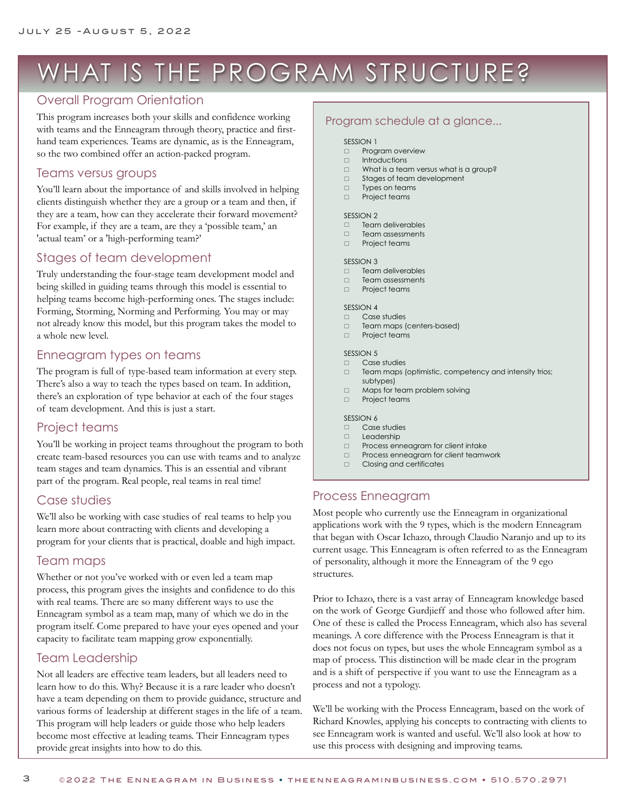# WHAT IS THE PROGRAM STRUCTURE?

# Overall Program Orientation

This program increases both your skills and confidence working with teams and the Enneagram through theory, practice and firsthand team experiences. Teams are dynamic, as is the Enneagram, so the two combined offer an action-packed program.

### Teams versus groups

You'll learn about the importance of and skills involved in helping clients distinguish whether they are a group or a team and then, if they are a team, how can they accelerate their forward movement? For example, if they are a team, are they a 'possible team,' an 'actual team' or a 'high-performing team?'

# Stages of team development

Truly understanding the four-stage team development model and being skilled in guiding teams through this model is essential to helping teams become high-performing ones. The stages include: Forming, Storming, Norming and Performing. You may or may not already know this model, but this program takes the model to a whole new level.

# Enneagram types on teams

The program is full of type-based team information at every step. There's also a way to teach the types based on team. In addition, there's an exploration of type behavior at each of the four stages of team development. And this is just a start.

# Project teams

You'll be working in project teams throughout the program to both create team-based resources you can use with teams and to analyze team stages and team dynamics. This is an essential and vibrant part of the program. Real people, real teams in real time!

# Case studies

We'll also be working with case studies of real teams to help you learn more about contracting with clients and developing a program for your clients that is practical, doable and high impact.

# Team maps

Whether or not you've worked with or even led a team map process, this program gives the insights and confidence to do this with real teams. There are so many different ways to use the Enneagram symbol as a team map, many of which we do in the program itself. Come prepared to have your eyes opened and your capacity to facilitate team mapping grow exponentially.

# Team Leadership

3

Not all leaders are effective team leaders, but all leaders need to learn how to do this. Why? Because it is a rare leader who doesn't have a team depending on them to provide guidance, structure and various forms of leadership at different stages in the life of a team. This program will help leaders or guide those who help leaders become most effective at leading teams. Their Enneagram types provide great insights into how to do this.

# Program schedule at a glance...

#### SESSION 1

- **D** Program overview
- $\Box$  Introductions
- $\Box$  What is a team versus what is a group?<br> $\Box$  Stages of team development
- $\Box$  Stages of team development<br> $\Box$  Types on teams
- Types on teams
- **D** Project teams

#### SESSION<sub>2</sub>

- 
- $\Box$  Team deliverables<br> $\Box$  Team assessments Team assessments
- $\Box$  Project teams

#### SESSION 3

- $\Box$  Team deliverables
- $\Box$  Team assessments
- $\Box$  Project teams

#### SESSION 4

- $\Box$  Case studies
- Team maps (centers-based)  $\Box$  Project teams

#### SESSION<sub>5</sub>

- $\Box$  Case studies
- $\Box$  Team maps (optimistic, competency and intensity trios; subtypes)
- $\Box$  Maps for team problem solving
- $\Box$  Project teams

#### SESSION 6

- □ Case studies<br>□ Leadershin
- **Leadership**
- **Example 2** Process enneagram for client intake
- $\Box$  Process enneagram for client teamwork  $\Box$  Closing and certificates
- Closing and certificates

# Process Enneagram

Most people who currently use the Enneagram in organizational applications work with the 9 types, which is the modern Enneagram that began with Oscar Ichazo, through Claudio Naranjo and up to its current usage. This Enneagram is often referred to as the Enneagram of personality, although it more the Enneagram of the 9 ego structures.

Prior to Ichazo, there is a vast array of Enneagram knowledge based on the work of George Gurdjieff and those who followed after him. One of these is called the Process Enneagram, which also has several meanings. A core difference with the Process Enneagram is that it does not focus on types, but uses the whole Enneagram symbol as a map of process. This distinction will be made clear in the program and is a shift of perspective if you want to use the Enneagram as a process and not a typology.

We'll be working with the Process Enneagram, based on the work of Richard Knowles, applying his concepts to contracting with clients to see Enneagram work is wanted and useful. We'll also look at how to use this process with designing and improving teams.